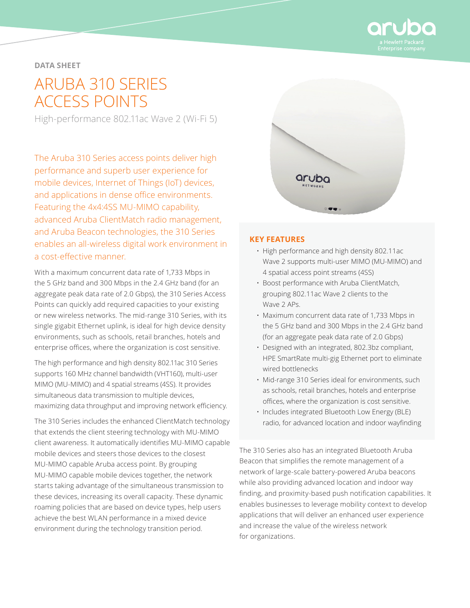

## **DATA SHEET**

# ARUBA 310 SERIES ACCESS POINTS

High-performance 802.11ac Wave 2 (Wi-Fi 5)

The Aruba 310 Series access points deliver high performance and superb user experience for mobile devices, Internet of Things (IoT) devices, and applications in dense office environments. Featuring the 4x4:4SS MU-MIMO capability, advanced Aruba ClientMatch radio management, and Aruba Beacon technologies, the 310 Series enables an all-wireless digital work environment in a cost-effective manner.

With a maximum concurrent data rate of 1,733 Mbps in the 5 GHz band and 300 Mbps in the 2.4 GHz band (for an aggregate peak data rate of 2.0 Gbps), the 310 Series Access Points can quickly add required capacities to your existing or new wireless networks. The mid-range 310 Series, with its single gigabit Ethernet uplink, is ideal for high device density environments, such as schools, retail branches, hotels and enterprise offices, where the organization is cost sensitive.

The high performance and high density 802.11ac 310 Series supports 160 MHz channel bandwidth (VHT160), multi-user MIMO (MU-MIMO) and 4 spatial streams (4SS). It provides simultaneous data transmission to multiple devices, maximizing data throughput and improving network efficiency.

The 310 Series includes the enhanced ClientMatch technology that extends the client steering technology with MU-MIMO client awareness. It automatically identifies MU-MIMO capable mobile devices and steers those devices to the closest MU-MIMO capable Aruba access point. By grouping MU-MIMO capable mobile devices together, the network starts taking advantage of the simultaneous transmission to these devices, increasing its overall capacity. These dynamic roaming policies that are based on device types, help users achieve the best WLAN performance in a mixed device environment during the technology transition period.



#### **KEY FEATURES**

- High performance and high density 802.11ac Wave 2 supports multi-user MIMO (MU-MIMO) and 4 spatial access point streams (4SS)
- Boost performance with Aruba ClientMatch, grouping 802.11ac Wave 2 clients to the Wave 2 APs.
- Maximum concurrent data rate of 1,733 Mbps in the 5 GHz band and 300 Mbps in the 2.4 GHz band (for an aggregate peak data rate of 2.0 Gbps)
- Designed with an integrated, 802.3bz compliant, HPE SmartRate multi-gig Ethernet port to eliminate wired bottlenecks
- Mid-range 310 Series ideal for environments, such as schools, retail branches, hotels and enterprise offices, where the organization is cost sensitive.
- Includes integrated Bluetooth Low Energy (BLE) radio, for advanced location and indoor wayfinding

The 310 Series also has an integrated Bluetooth Aruba Beacon that simplifies the remote management of a network of large-scale battery-powered Aruba beacons while also providing advanced location and indoor way finding, and proximity-based push notification capabilities. It enables businesses to leverage mobility context to develop applications that will deliver an enhanced user experience and increase the value of the wireless network for organizations.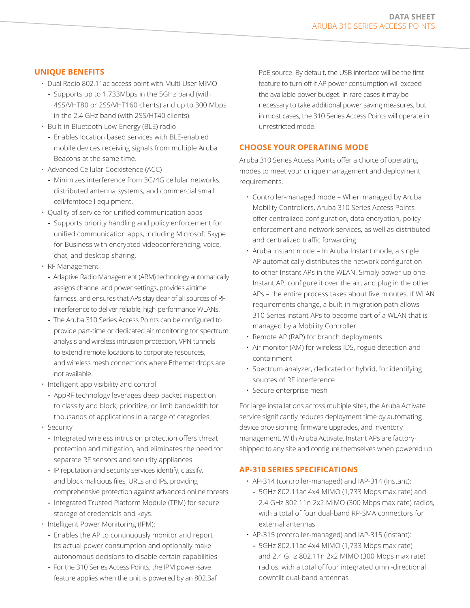# **UNIQUE BENEFITS**

- Dual Radio 802.11ac access point with Multi-User MIMO
	- **-** Supports up to 1,733Mbps in the 5GHz band (with 4SS/VHT80 or 2SS/VHT160 clients) and up to 300 Mbps in the 2.4 GHz band (with 2SS/HT40 clients).
- Built-in Bluetooth Low-Energy (BLE) radio
	- **-** Enables location based services with BLE-enabled mobile devices receiving signals from multiple Aruba Beacons at the same time.
- Advanced Cellular Coexistence (ACC)
	- **-** Minimizes interference from 3G/4G cellular networks, distributed antenna systems, and commercial small cell/femtocell equipment.
- Quality of service for unified communication apps
- **-** Supports priority handling and policy enforcement for unified communication apps, including Microsoft Skype for Business with encrypted videoconferencing, voice, chat, and desktop sharing.
- RF Management
	- **-** Adaptive Radio Management (ARM) technology automatically assigns channel and power settings, provides airtime fairness, and ensures that APs stay clear of all sources of RF interference to deliver reliable, high-performance WLANs.
	- **-** The Aruba 310 Series Access Points can be configured to provide part-time or dedicated air monitoring for spectrum analysis and wireless intrusion protection, VPN tunnels to extend remote locations to corporate resources, and wireless mesh connections where Ethernet drops are not available.
- Intelligent app visibility and control
	- **-** AppRF technology leverages deep packet inspection to classify and block, prioritize, or limit bandwidth for thousands of applications in a range of categories.
- Security
	- **-** Integrated wireless intrusion protection offers threat protection and mitigation, and eliminates the need for separate RF sensors and security appliances.
	- **-** IP reputation and security services identify, classify, and block malicious files, URLs and IPs, providing comprehensive protection against advanced online threats.
- **-** Integrated Trusted Platform Module (TPM) for secure storage of credentials and keys.
- Intelligent Power Monitoring (IPM):
	- **-** Enables the AP to continuously monitor and report its actual power consumption and optionally make autonomous decisions to disable certain capabilities
	- **-** For the 310 Series Access Points, the IPM power-save feature applies when the unit is powered by an 802.3af

PoE source. By default, the USB interface will be the first feature to turn off if AP power consumption will exceed the available power budget. In rare cases it may be necessary to take additional power saving measures, but in most cases, the 310 Series Access Points will operate in unrestricted mode.

## **CHOOSE YOUR OPERATING MODE**

Aruba 310 Series Access Points offer a choice of operating modes to meet your unique management and deployment requirements.

- Controller-managed mode When managed by Aruba Mobility Controllers, Aruba 310 Series Access Points offer centralized configuration, data encryption, policy enforcement and network services, as well as distributed and centralized traffic forwarding.
- Aruba Instant mode In Aruba Instant mode, a single AP automatically distributes the network configuration to other Instant APs in the WLAN. Simply power-up one Instant AP, configure it over the air, and plug in the other APs – the entire process takes about five minutes. If WLAN requirements change, a built-in migration path allows 310 Series instant APs to become part of a WLAN that is managed by a Mobility Controller.
- Remote AP (RAP) for branch deployments
- Air monitor (AM) for wireless IDS, rogue detection and containment
- Spectrum analyzer, dedicated or hybrid, for identifying sources of RF interference
- Secure enterprise mesh

For large installations across multiple sites, the Aruba Activate service significantly reduces deployment time by automating device provisioning, firmware upgrades, and inventory management. With Aruba Activate, Instant APs are factoryshipped to any site and configure themselves when powered up.

#### **AP-310 SERIES SPECIFICATIONS**

- AP-314 (controller-managed) and IAP-314 (Instant):
- **-** 5GHz 802.11ac 4x4 MIMO (1,733 Mbps max rate) and 2.4 GHz 802.11n 2x2 MIMO (300 Mbps max rate) radios, with a total of four dual-band RP-SMA connectors for external antennas
- AP-315 (controller-managed) and IAP-315 (Instant):
- **-** 5GHz 802.11ac 4x4 MIMO (1,733 Mbps max rate) and 2.4 GHz 802.11n 2x2 MIMO (300 Mbps max rate) radios, with a total of four integrated omni-directional downtilt dual-band antennas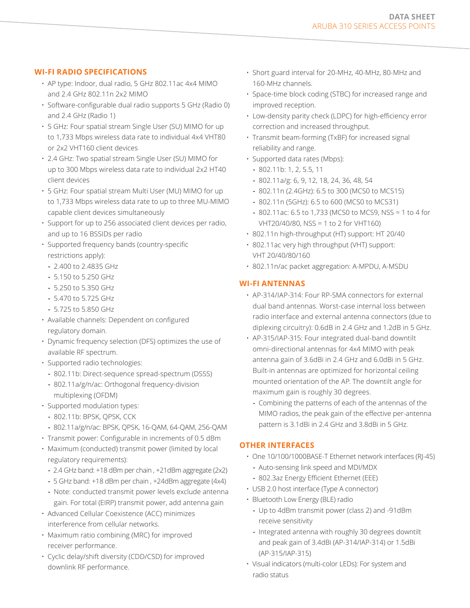# **WI-FI RADIO SPECIFICATIONS**

- AP type: Indoor, dual radio, 5 GHz 802.11ac 4x4 MIMO and 2.4 GHz 802.11n 2x2 MIMO
- Software-configurable dual radio supports 5 GHz (Radio 0) and 2.4 GHz (Radio 1)
- 5 GHz: Four spatial stream Single User (SU) MIMO for up to 1,733 Mbps wireless data rate to individual 4x4 VHT80 or 2x2 VHT160 client devices
- 2.4 GHz: Two spatial stream Single User (SU) MIMO for up to 300 Mbps wireless data rate to individual 2x2 HT40 client devices
- 5 GHz: Four spatial stream Multi User (MU) MIMO for up to 1,733 Mbps wireless data rate to up to three MU-MIMO capable client devices simultaneously
- Support for up to 256 associated client devices per radio, and up to 16 BSSIDs per radio
- Supported frequency bands (country-specific restrictions apply):
	- **-** 2.400 to 2.4835 GHz
	- **-** 5.150 to 5.250 GHz
	- **-** 5.250 to 5.350 GHz
	- **-** 5.470 to 5.725 GHz
	- **-** 5.725 to 5.850 GHz
- Available channels: Dependent on configured regulatory domain.
- Dynamic frequency selection (DFS) optimizes the use of available RF spectrum.
- Supported radio technologies:
	- **-** 802.11b: Direct-sequence spread-spectrum (DSSS)
	- **-** 802.11a/g/n/ac: Orthogonal frequency-division multiplexing (OFDM)
- Supported modulation types:
	- **-** 802.11b: BPSK, QPSK, CCK
- **-** 802.11a/g/n/ac: BPSK, QPSK, 16-QAM, 64-QAM, 256-QAM
- Transmit power: Configurable in increments of 0.5 dBm
- Maximum (conducted) transmit power (limited by local regulatory requirements):
	- **-** 2.4 GHz band: +18 dBm per chain , +21dBm aggregate (2x2)
	- **-** 5 GHz band: +18 dBm per chain , +24dBm aggregate (4x4)
	- **-** Note: conducted transmit power levels exclude antenna gain. For total (EIRP) transmit power, add antenna gain
- Advanced Cellular Coexistence (ACC) minimizes interference from cellular networks.
- Maximum ratio combining (MRC) for improved receiver performance.
- Cyclic delay/shift diversity (CDD/CSD) for improved downlink RF performance.
- Short guard interval for 20-MHz, 40-MHz, 80-MHz and 160-MHz channels.
- Space-time block coding (STBC) for increased range and improved reception.
- Low-density parity check (LDPC) for high-efficiency error correction and increased throughput.
- Transmit beam-forming (TxBF) for increased signal reliability and range.
- Supported data rates (Mbps):
	- **-** 802.11b: 1, 2, 5.5, 11
	- **-** 802.11a/g: 6, 9, 12, 18, 24, 36, 48, 54
	- **-** 802.11n (2.4GHz): 6.5 to 300 (MCS0 to MCS15)
	- **-** 802.11n (5GHz): 6.5 to 600 (MCS0 to MCS31)
	- **-** 802.11ac: 6.5 to 1,733 (MCS0 to MCS9, NSS = 1 to 4 for VHT20/40/80, NSS = 1 to 2 for VHT160)
- 802.11n high-throughput (HT) support: HT 20/40
- 802.11ac very high throughput (VHT) support: VHT 20/40/80/160
- 802.11n/ac packet aggregation: A-MPDU, A-MSDU

# **WI-FI ANTENNAS**

- AP-314/IAP-314: Four RP-SMA connectors for external dual band antennas. Worst-case internal loss between radio interface and external antenna connectors (due to diplexing circuitry): 0.6dB in 2.4 GHz and 1.2dB in 5 GHz.
- AP-315/IAP-315: Four integrated dual-band downtilt omni-directional antennas for 4x4 MIMO with peak antenna gain of 3.6dBi in 2.4 GHz and 6.0dBi in 5 GHz. Built-in antennas are optimized for horizontal ceiling mounted orientation of the AP. The downtilt angle for maximum gain is roughly 30 degrees.
	- **-** Combining the patterns of each of the antennas of the MIMO radios, the peak gain of the effective per-antenna pattern is 3.1dBi in 2.4 GHz and 3.8dBi in 5 GHz.

# **OTHER INTERFACES**

- One 10/100/1000BASE-T Ethernet network interfaces (RJ-45) **-** Auto-sensing link speed and MDI/MDX
	- **-** 802.3az Energy Efficient Ethernet (EEE)
- USB 2.0 host interface (Type A connector)
- Bluetooth Low Energy (BLE) radio
	- **-** Up to 4dBm transmit power (class 2) and -91dBm receive sensitivity
	- **-** Integrated antenna with roughly 30 degrees downtilt and peak gain of 3.4dBi (AP-314/IAP-314) or 1.5dBi (AP-315/IAP-315)
- Visual indicators (multi-color LEDs): For system and radio status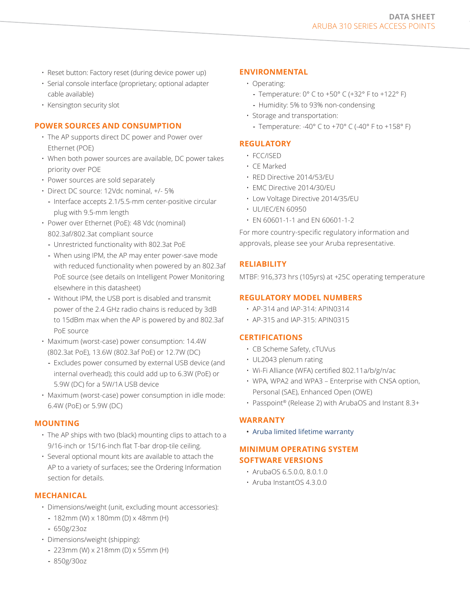- Reset button: Factory reset (during device power up)
- Serial console interface (proprietary; optional adapter cable available)
- Kensington security slot

#### **POWER SOURCES AND CONSUMPTION**

- The AP supports direct DC power and Power over Ethernet (POE)
- When both power sources are available, DC power takes priority over POE
- Power sources are sold separately
- Direct DC source: 12Vdc nominal, +/- 5%
- **-** Interface accepts 2.1/5.5-mm center-positive circular plug with 9.5-mm length
- Power over Ethernet (PoE): 48 Vdc (nominal) 802.3af/802.3at compliant source
	- **-** Unrestricted functionality with 802.3at PoE
	- **-** When using IPM, the AP may enter power-save mode with reduced functionality when powered by an 802.3af PoE source (see details on Intelligent Power Monitoring elsewhere in this datasheet)
	- **-** Without IPM, the USB port is disabled and transmit power of the 2.4 GHz radio chains is reduced by 3dB to 15dBm max when the AP is powered by and 802.3af PoE source
- Maximum (worst-case) power consumption: 14.4W (802.3at PoE), 13.6W (802.3af PoE) or 12.7W (DC)
	- **-** Excludes power consumed by external USB device (and internal overhead); this could add up to 6.3W (PoE) or 5.9W (DC) for a 5W/1A USB device
- Maximum (worst-case) power consumption in idle mode: 6.4W (PoE) or 5.9W (DC)

# **MOUNTING**

- The AP ships with two (black) mounting clips to attach to a 9/16-inch or 15/16-inch flat T-bar drop-tile ceiling.
- Several optional mount kits are available to attach the AP to a variety of surfaces; see the Ordering Information section for details.

# **MECHANICAL**

- Dimensions/weight (unit, excluding mount accessories):
	- **-** 182mm (W) x 180mm (D) x 48mm (H)
	- **-** 650g/23oz
- Dimensions/weight (shipping):
	- **-** 223mm (W) x 218mm (D) x 55mm (H)
	- **-** 850g/30oz

## **ENVIRONMENTAL**

- Operating:
	- **-** Temperature: 0° C to +50° C (+32° F to +122° F)
	- **-** Humidity: 5% to 93% non-condensing
- Storage and transportation:
	- **-** Temperature: -40° C to +70° C (-40° F to +158° F)

# **REGULATORY**

- FCC/ISED
- CE Marked
- RED Directive 2014/53/EU
- EMC Directive 2014/30/EU
- Low Voltage Directive 2014/35/EU
- UL/IEC/EN 60950
- EN 60601-1-1 and EN 60601-1-2

For more country-specific regulatory information and approvals, please see your Aruba representative.

# **RELIABILITY**

MTBF: 916,373 hrs (105yrs) at +25C operating temperature

#### **REGULATORY MODEL NUMBERS**

- AP-314 and IAP-314: APIN0314
- AP-315 and IAP-315: APIN0315

#### **CERTIFICATIONS**

- CB Scheme Safety, cTUVus
- UL2043 plenum rating
- Wi-Fi Alliance (WFA) certified 802.11a/b/g/n/ac
- WPA, WPA2 and WPA3 Enterprise with CNSA option, Personal (SAE), Enhanced Open (OWE)
- Passpoint® (Release 2) with ArubaOS and Instant 8.3+

#### **WARRANTY**

• [Aruba limited lifetime warranty](http://www.arubanetworks.com/support-services/product-warranties/)

#### **MINIMUM OPERATING SYSTEM SOFTWARE VERSIONS**

- ArubaOS 6.5.0.0, 8.0.1.0
- Aruba InstantOS 4.3.0.0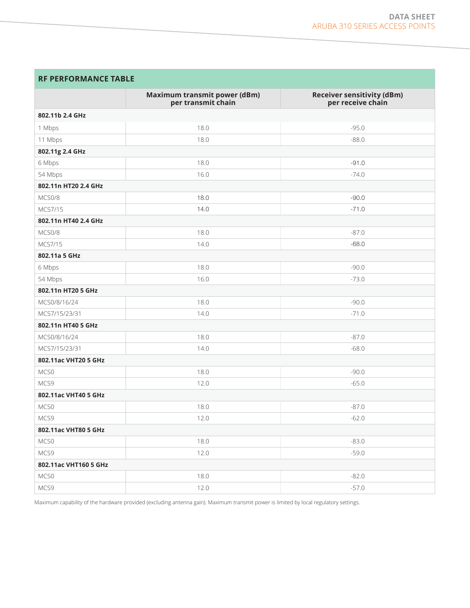# **RF PERFORMANCE TABLE**

|                       | Maximum transmit power (dBm)<br>per transmit chain | <b>Receiver sensitivity (dBm)</b><br>per receive chain |
|-----------------------|----------------------------------------------------|--------------------------------------------------------|
| 802.11b 2.4 GHz       |                                                    |                                                        |
| 1 Mbps                | 18.0                                               | $-95.0$                                                |
| 11 Mbps               | 18.0                                               | $-88.0$                                                |
| 802.11g 2.4 GHz       |                                                    |                                                        |
| 6 Mbps                | 18.0                                               | $-91.0$                                                |
| 54 Mbps               | 16.0                                               | $-74.0$                                                |
| 802.11n HT20 2.4 GHz  |                                                    |                                                        |
| MCS0/8                | 18.0                                               | $-90.0$                                                |
| MCS7/15               | 14.0                                               | $-71.0$                                                |
| 802.11n HT40 2.4 GHz  |                                                    |                                                        |
| MCS0/8                | 18.0                                               | $-87.0$                                                |
| MCS7/15               | 14.0                                               | $-68.0$                                                |
| 802.11a 5 GHz         |                                                    |                                                        |
| 6 Mbps                | 18.0                                               | $-90.0$                                                |
| 54 Mbps               | 16.0                                               | $-73.0$                                                |
| 802.11n HT20 5 GHz    |                                                    |                                                        |
| MCS0/8/16/24          | 18.0                                               | $-90.0$                                                |
| MCS7/15/23/31         | 14.0                                               | $-71.0$                                                |
| 802.11n HT40 5 GHz    |                                                    |                                                        |
| MCS0/8/16/24          | 18.0                                               | $-87.0$                                                |
| MCS7/15/23/31         | 14.0                                               | $-68.0$                                                |
| 802.11ac VHT20 5 GHz  |                                                    |                                                        |
| MCS0                  | 18.0                                               | $-90.0$                                                |
| MCS9                  | 12.0                                               | $-65.0$                                                |
| 802.11ac VHT40 5 GHz  |                                                    |                                                        |
| MCS0                  | 18.0                                               | $-87.0$                                                |
| MCS9                  | 12.0                                               | $-62.0$                                                |
| 802.11ac VHT80 5 GHz  |                                                    |                                                        |
| MCS0                  | 18.0                                               | $-83.0$                                                |
| MCS9                  | 12.0                                               | $-59.0$                                                |
| 802.11ac VHT160 5 GHz |                                                    |                                                        |
| MCS0                  | 18.0                                               | $-82.0$                                                |
| MCS9                  | 12.0                                               | $-57.0$                                                |

Maximum capability of the hardware provided (excluding antenna gain). Maximum transmit power is limited by local regulatory settings.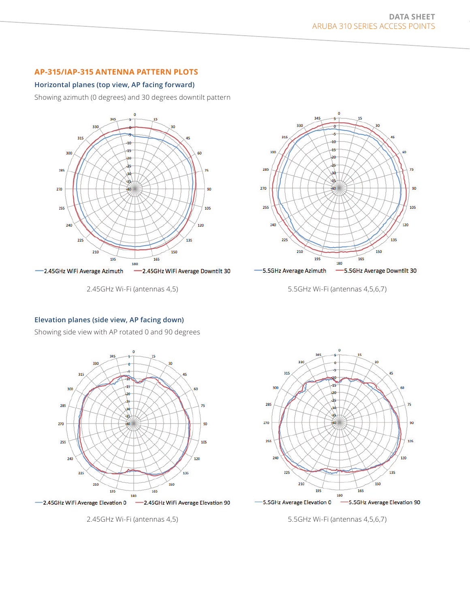# **AP-315/IAP-315 ANTENNA PATTERN PLOTS**

#### **Horizontal planes (top view, AP facing forward)**

Showing azimuth (0 degrees) and 30 degrees downtilt pattern



2.45GHz Wi-Fi (antennas 4,5)



5.5GHz Wi-Fi (antennas 4,5,6,7)

#### **Elevation planes (side view, AP facing down)**

Showing side view with AP rotated 0 and 90 degrees



2.45GHz Wi-Fi (antennas 4,5)



5.5GHz Wi-Fi (antennas 4,5,6,7)